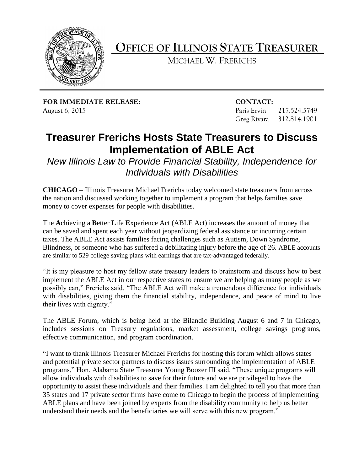

**OFFICE OF ILLINOIS STATE TREASURER**

MICHAEL W. FRERICHS

**FOR IMMEDIATE RELEASE: CONTACT:** August 6, 2015 **Paris Ervin 217.524.5749** 

Greg Rivara 312.814.1901

## **Treasurer Frerichs Hosts State Treasurers to Discuss Implementation of ABLE Act**

*New Illinois Law to Provide Financial Stability, Independence for Individuals with Disabilities*

**CHICAGO** – Illinois Treasurer Michael Frerichs today welcomed state treasurers from across the nation and discussed working together to implement a program that helps families save money to cover expenses for people with disabilities.

The **A**chieving a **B**etter **L**ife **E**xperience Act (ABLE Act) increases the amount of money that can be saved and spent each year without jeopardizing federal assistance or incurring certain taxes. The ABLE Act assists families facing challenges such as Autism, Down Syndrome, Blindness, or someone who has suffered a debilitating injury before the age of 26. ABLE accounts are similar to 529 college saving plans with earnings that are tax-advantaged federally.

"It is my pleasure to host my fellow state treasury leaders to brainstorm and discuss how to best implement the ABLE Act in our respective states to ensure we are helping as many people as we possibly can," Frerichs said. "The ABLE Act will make a tremendous difference for individuals with disabilities, giving them the financial stability, independence, and peace of mind to live their lives with dignity."

The ABLE Forum, which is being held at the Bilandic Building August 6 and 7 in Chicago, includes sessions on Treasury regulations, market assessment, college savings programs, effective communication, and program coordination.

"I want to thank Illinois Treasurer Michael Frerichs for hosting this forum which allows states and potential private sector partners to discuss issues surrounding the implementation of ABLE programs," Hon. Alabama State Treasurer Young Boozer III said. "These unique programs will allow individuals with disabilities to save for their future and we are privileged to have the opportunity to assist these individuals and their families. I am delighted to tell you that more than 35 states and 17 private sector firms have come to Chicago to begin the process of implementing ABLE plans and have been joined by experts from the disability community to help us better understand their needs and the beneficiaries we will serve with this new program."